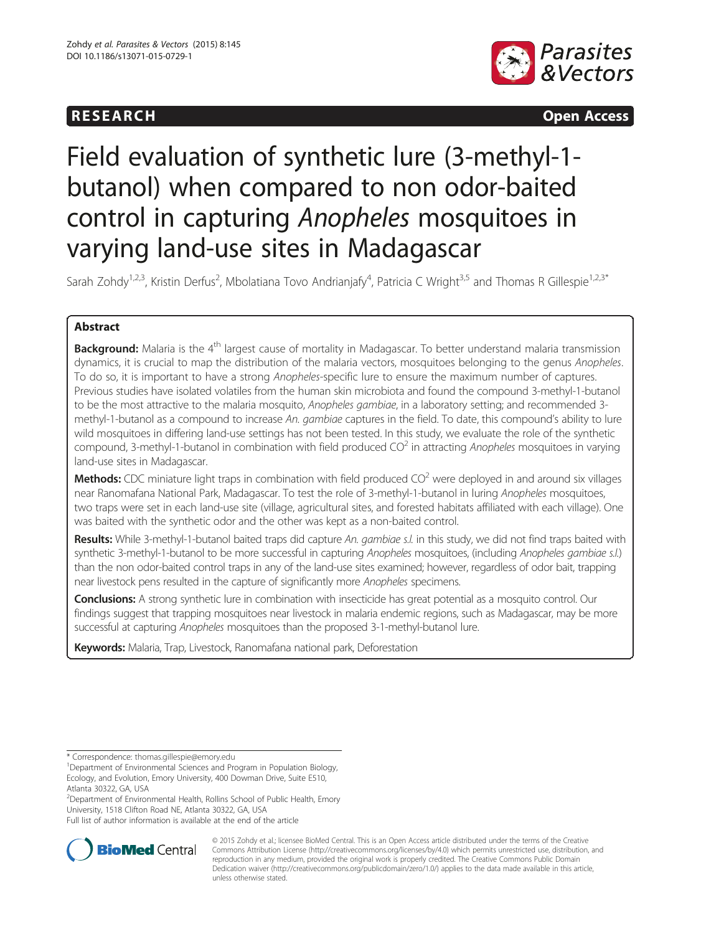## **RESEARCH RESEARCH CONSUMING ACCESS**



# Field evaluation of synthetic lure (3-methyl-1 butanol) when compared to non odor-baited control in capturing Anopheles mosquitoes in varying land-use sites in Madagascar

Sarah Zohdy<sup>1,2,3</sup>, Kristin Derfus<sup>2</sup>, Mbolatiana Tovo Andrianjafy<sup>4</sup>, Patricia C Wright<sup>3,5</sup> and Thomas R Gillespie<sup>1,2,3\*</sup>

## Abstract

Background: Malaria is the 4<sup>th</sup> largest cause of mortality in Madagascar. To better understand malaria transmission dynamics, it is crucial to map the distribution of the malaria vectors, mosquitoes belonging to the genus Anopheles. To do so, it is important to have a strong Anopheles-specific lure to ensure the maximum number of captures. Previous studies have isolated volatiles from the human skin microbiota and found the compound 3-methyl-1-butanol to be the most attractive to the malaria mosquito, Anopheles gambiae, in a laboratory setting; and recommended 3methyl-1-butanol as a compound to increase An. *gambiae* captures in the field. To date, this compound's ability to lure wild mosquitoes in differing land-use settings has not been tested. In this study, we evaluate the role of the synthetic compound, 3-methyl-1-butanol in combination with field produced  $CO<sup>2</sup>$  in attracting Anopheles mosquitoes in varying land-use sites in Madagascar.

**Methods:** CDC miniature light traps in combination with field produced  $CO<sup>2</sup>$  were deployed in and around six villages near Ranomafana National Park, Madagascar. To test the role of 3-methyl-1-butanol in luring Anopheles mosquitoes, two traps were set in each land-use site (village, agricultural sites, and forested habitats affiliated with each village). One was baited with the synthetic odor and the other was kept as a non-baited control.

Results: While 3-methyl-1-butanol baited traps did capture An. gambiae s.l. in this study, we did not find traps baited with synthetic 3-methyl-1-butanol to be more successful in capturing Anopheles mosquitoes, (including Anopheles gambiae s.l.) than the non odor-baited control traps in any of the land-use sites examined; however, regardless of odor bait, trapping near livestock pens resulted in the capture of significantly more Anopheles specimens.

Conclusions: A strong synthetic lure in combination with insecticide has great potential as a mosquito control. Our findings suggest that trapping mosquitoes near livestock in malaria endemic regions, such as Madagascar, may be more successful at capturing Anopheles mosquitoes than the proposed 3-1-methyl-butanol lure.

Keywords: Malaria, Trap, Livestock, Ranomafana national park, Deforestation

<sup>2</sup>Department of Environmental Health, Rollins School of Public Health, Emory University, 1518 Clifton Road NE, Atlanta 30322, GA, USA

Full list of author information is available at the end of the article



© 2015 Zohdy et al.; licensee BioMed Central. This is an Open Access article distributed under the terms of the Creative Commons Attribution License [\(http://creativecommons.org/licenses/by/4.0\)](http://creativecommons.org/licenses/by/4.0) which permits unrestricted use, distribution, and reproduction in any medium, provided the original work is properly credited. The Creative Commons Public Domain Dedication waiver [\(http://creativecommons.org/publicdomain/zero/1.0/](http://creativecommons.org/publicdomain/zero/1.0/)) applies to the data made available in this article, unless otherwise stated.

<sup>\*</sup> Correspondence: [thomas.gillespie@emory.edu](mailto:thomas.gillespie@emory.edu) <sup>1</sup>

<sup>&</sup>lt;sup>1</sup>Department of Environmental Sciences and Program in Population Biology, Ecology, and Evolution, Emory University, 400 Dowman Drive, Suite E510, Atlanta 30322, GA, USA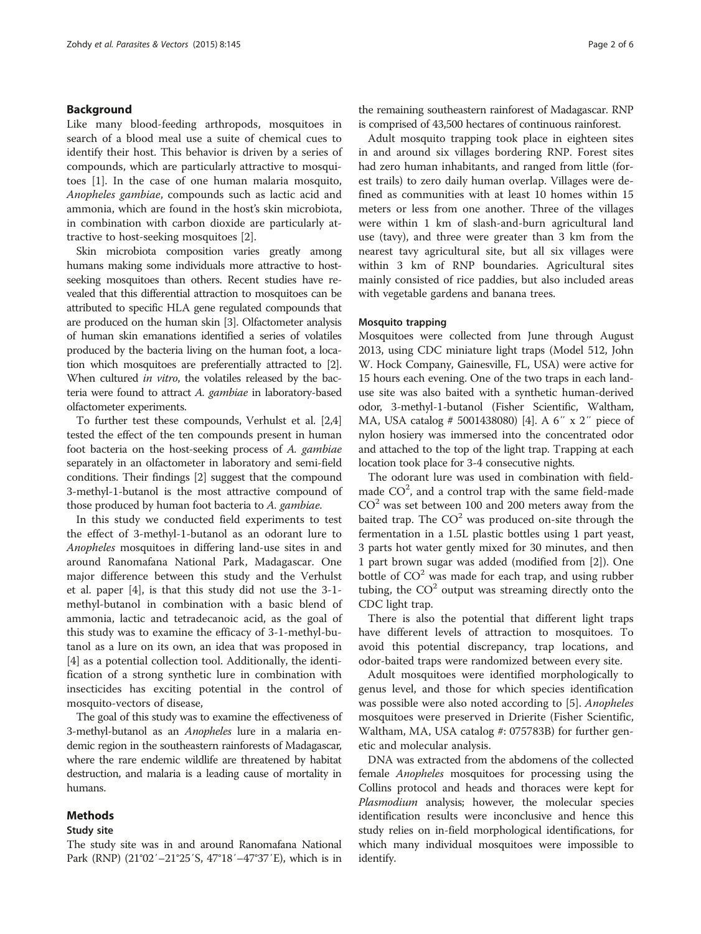## Background

Like many blood-feeding arthropods, mosquitoes in search of a blood meal use a suite of chemical cues to identify their host. This behavior is driven by a series of compounds, which are particularly attractive to mosquitoes [\[1](#page-5-0)]. In the case of one human malaria mosquito, Anopheles gambiae, compounds such as lactic acid and ammonia, which are found in the host's skin microbiota, in combination with carbon dioxide are particularly attractive to host-seeking mosquitoes [[2\]](#page-5-0).

Skin microbiota composition varies greatly among humans making some individuals more attractive to hostseeking mosquitoes than others. Recent studies have revealed that this differential attraction to mosquitoes can be attributed to specific HLA gene regulated compounds that are produced on the human skin [\[3\]](#page-5-0). Olfactometer analysis of human skin emanations identified a series of volatiles produced by the bacteria living on the human foot, a location which mosquitoes are preferentially attracted to [[2](#page-5-0)]. When cultured in vitro, the volatiles released by the bacteria were found to attract A. gambiae in laboratory-based olfactometer experiments.

To further test these compounds, Verhulst et al. [[2,4](#page-5-0)] tested the effect of the ten compounds present in human foot bacteria on the host-seeking process of A. gambiae separately in an olfactometer in laboratory and semi-field conditions. Their findings [[2\]](#page-5-0) suggest that the compound 3-methyl-1-butanol is the most attractive compound of those produced by human foot bacteria to A. gambiae.

In this study we conducted field experiments to test the effect of 3-methyl-1-butanol as an odorant lure to Anopheles mosquitoes in differing land-use sites in and around Ranomafana National Park, Madagascar. One major difference between this study and the Verhulst et al. paper [\[4](#page-5-0)], is that this study did not use the 3-1 methyl-butanol in combination with a basic blend of ammonia, lactic and tetradecanoic acid, as the goal of this study was to examine the efficacy of 3-1-methyl-butanol as a lure on its own, an idea that was proposed in [[4\]](#page-5-0) as a potential collection tool. Additionally, the identification of a strong synthetic lure in combination with insecticides has exciting potential in the control of mosquito-vectors of disease,

The goal of this study was to examine the effectiveness of 3-methyl-butanol as an Anopheles lure in a malaria endemic region in the southeastern rainforests of Madagascar, where the rare endemic wildlife are threatened by habitat destruction, and malaria is a leading cause of mortality in humans.

## Methods

## Study site

the remaining southeastern rainforest of Madagascar. RNP is comprised of 43,500 hectares of continuous rainforest.

Adult mosquito trapping took place in eighteen sites in and around six villages bordering RNP. Forest sites had zero human inhabitants, and ranged from little (forest trails) to zero daily human overlap. Villages were defined as communities with at least 10 homes within 15 meters or less from one another. Three of the villages were within 1 km of slash-and-burn agricultural land use (tavy), and three were greater than 3 km from the nearest tavy agricultural site, but all six villages were within 3 km of RNP boundaries. Agricultural sites mainly consisted of rice paddies, but also included areas with vegetable gardens and banana trees.

## Mosquito trapping

Mosquitoes were collected from June through August 2013, using CDC miniature light traps (Model 512, John W. Hock Company, Gainesville, FL, USA) were active for 15 hours each evening. One of the two traps in each landuse site was also baited with a synthetic human-derived odor, 3-methyl-1-butanol (Fisher Scientific, Waltham, MA, USA catalog # 5001438080) [[4](#page-5-0)]. A 6″ x 2″ piece of nylon hosiery was immersed into the concentrated odor and attached to the top of the light trap. Trapping at each location took place for 3-4 consecutive nights.

The odorant lure was used in combination with fieldmade  $CO<sup>2</sup>$ , and a control trap with the same field-made  $CO<sup>2</sup>$  was set between 100 and 200 meters away from the baited trap. The  $CO<sup>2</sup>$  was produced on-site through the fermentation in a 1.5L plastic bottles using 1 part yeast, 3 parts hot water gently mixed for 30 minutes, and then 1 part brown sugar was added (modified from [\[2](#page-5-0)]). One bottle of  $CO<sup>2</sup>$  was made for each trap, and using rubber tubing, the  $CO<sup>2</sup>$  output was streaming directly onto the CDC light trap.

There is also the potential that different light traps have different levels of attraction to mosquitoes. To avoid this potential discrepancy, trap locations, and odor-baited traps were randomized between every site.

Adult mosquitoes were identified morphologically to genus level, and those for which species identification was possible were also noted according to [[5\]](#page-5-0). Anopheles mosquitoes were preserved in Drierite (Fisher Scientific, Waltham, MA, USA catalog #: 075783B) for further genetic and molecular analysis.

DNA was extracted from the abdomens of the collected female Anopheles mosquitoes for processing using the Collins protocol and heads and thoraces were kept for Plasmodium analysis; however, the molecular species identification results were inconclusive and hence this study relies on in-field morphological identifications, for which many individual mosquitoes were impossible to identify.

The study site was in and around Ranomafana National Park (RNP) (21°02′–21°25′S, 47°18′–47°37′E), which is in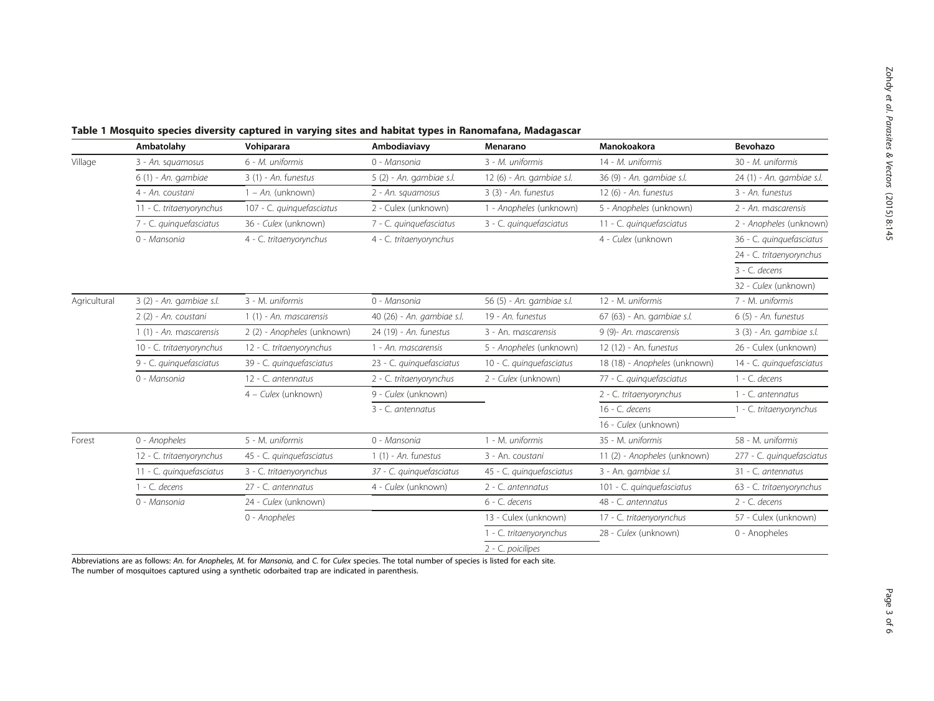|              | Ambatolahy               | Vohiparara                  | Ambodiaviavy               | Menarano                  | Manokoakora                   | Bevohazo                  |
|--------------|--------------------------|-----------------------------|----------------------------|---------------------------|-------------------------------|---------------------------|
| Village      | 3 - An. squamosus        | 6 - M. uniformis            | 0 - Mansonia               | 3 - M. uniformis          | 14 - M. uniformis             | 30 - M. uniformis         |
|              | 6 (1) - An. gambiae      | $3(1)$ - An. funestus       | 5 (2) - An. gambiae s.l.   | 12 (6) - An. gambiae s.l. | 36 (9) - An. gambiae s.l.     | 24 (1) - An. gambiae s.l. |
|              | 4 - An. coustani         | $1 - An$ . (unknown)        | 2 - An. squamosus          | $3(3)$ - An. funestus     | 12 (6) - An. funestus         | 3 - An. funestus          |
|              | 11 - C. tritaenyorynchus | 107 - C. quinquefasciatus   | 2 - Culex (unknown)        | 1 - Anopheles (unknown)   | 5 - Anopheles (unknown)       | 2 - An. mascarensis       |
|              | 7 - C. quinquefasciatus  | 36 - Culex (unknown)        | 7 - C. quinquefasciatus    | 3 - C. quinquefasciatus   | 11 - C. quinquefasciatus      | 2 - Anopheles (unknown)   |
|              | 0 - Mansonia             | 4 - C. tritaenyorynchus     | 4 - C. tritaenyorynchus    |                           | 4 - Culex (unknown            | 36 - C. quinquefasciatus  |
|              |                          |                             |                            |                           |                               | 24 - C. tritaenyorynchus  |
|              |                          |                             |                            |                           |                               | 3 - C. decens             |
|              |                          |                             |                            |                           |                               | 32 - Culex (unknown)      |
| Agricultural | 3 (2) - An. gambiae s.l. | 3 - M. uniformis            | 0 - Mansonia               | 56 (5) - An. gambiae s.l. | 12 - M. uniformis             | 7 - M. uniformis          |
|              | 2 (2) - An. coustani     | 1 (1) - An. mascarensis     | 40 (26) - An. gambiae s.l. | 19 - An. funestus         | 67 (63) - An. gambiae s.l.    | $6(5)$ - An. funestus     |
|              | 1 (1) - An. mascarensis  | 2 (2) - Anopheles (unknown) | 24 (19) - An. funestus     | 3 - An. mascarensis       | 9 (9)- An. mascarensis        | 3 (3) - An. gambiae s.l.  |
|              | 10 - C. tritaenyorynchus | 12 - C. tritaenyorynchus    | 1 - An. mascarensis        | 5 - Anopheles (unknown)   | 12 (12) - An. funestus        | 26 - Culex (unknown)      |
|              | 9 - C. quinquefasciatus  | 39 - C. quinquefasciatus    | 23 - C. quinquefasciatus   | 10 - C. quinquefasciatus  | 18 (18) - Anopheles (unknown) | 14 - C. quinquefasciatus  |
|              | 0 - Mansonia             | 12 - C. antennatus          | 2 - C. tritaenyorynchus    | 2 - Culex (unknown)       | 77 - C. quinquefasciatus      | $1 - C$ . decens          |
|              |                          | 4 - Culex (unknown)         | 9 - Culex (unknown)        |                           | 2 - C. tritaenyorynchus       | 1 - C. antennatus         |
|              |                          |                             | 3 - C. antennatus          |                           | 16 - C. decens                | 1 - C. tritaenyorynchus   |
|              |                          |                             |                            |                           | 16 - Culex (unknown)          |                           |
| Forest       | 0 - Anopheles            | 5 - M. uniformis            | 0 - Mansonia               | 1 - M. uniformis          | 35 - M. uniformis             | 58 - M. uniformis         |
|              | 12 - C. tritaenyorynchus | 45 - C. quinquefasciatus    | $1(1)$ - An. funestus      | 3 - An. coustani          | 11 (2) - Anopheles (unknown)  | 277 - C. quinquefasciatus |
|              | 11 - C. quinquefasciatus | 3 - C. tritaenyorynchus     | 37 - C. quinquefasciatus   | 45 - C. quinquefasciatus  | 3 - An. gambiae s.l.          | 31 - C. antennatus        |
|              | $1 - C$ . decens         | 27 - C. antennatus          | 4 - Culex (unknown)        | 2 - C. antennatus         | 101 - C. quinquefasciatus     | 63 - C. tritaenyorynchus  |
|              | 0 - Mansonia             | 24 - Culex (unknown)        |                            | $6 - C$ , decens          | 48 - C. antennatus            | 2 - C. decens             |
|              |                          | 0 - Anopheles               |                            | 13 - Culex (unknown)      | 17 - C. tritaenyorynchus      | 57 - Culex (unknown)      |
|              |                          |                             |                            | 1 - C. tritaenyorynchus   | 28 - Culex (unknown)          | 0 - Anopheles             |
|              |                          |                             |                            | 2 - C. poicilipes         |                               |                           |

<span id="page-2-0"></span>Table 1 Mosquito species diversity captured in varying sites and habitat types in Ranomafana, Madagascar

Abbreviations are as follows: An. for Anopheles, M. for Mansonia, and C. for Culex species. The total number of species is listed for each site. The number of mosquitoes captured using a synthetic odorbaited trap are indicated in parenthesis.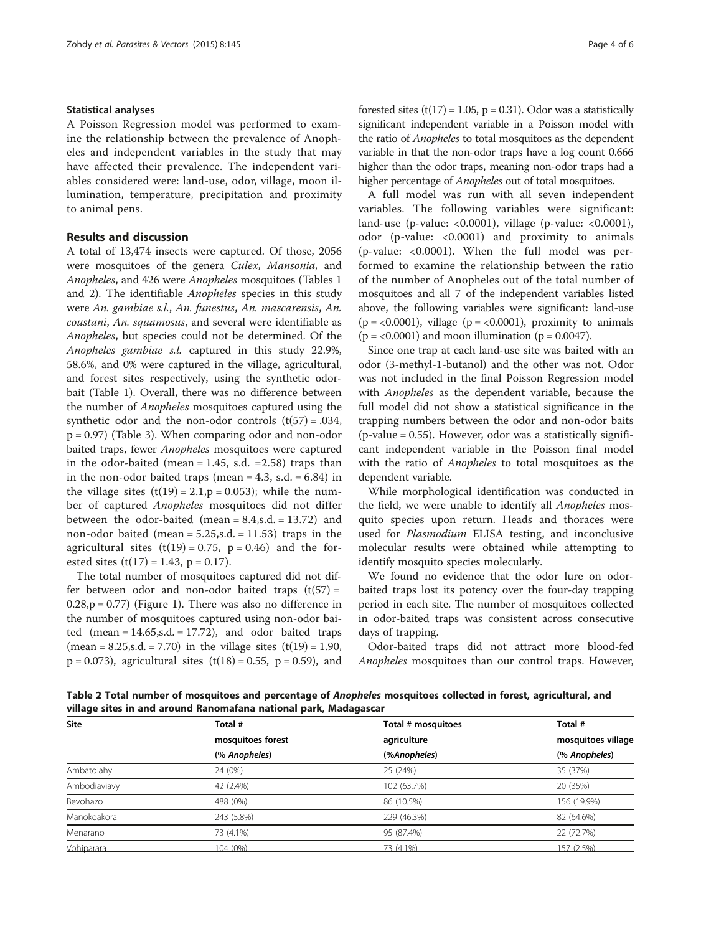## Statistical analyses

A Poisson Regression model was performed to examine the relationship between the prevalence of Anopheles and independent variables in the study that may have affected their prevalence. The independent variables considered were: land-use, odor, village, moon illumination, temperature, precipitation and proximity to animal pens.

## Results and discussion

A total of 13,474 insects were captured. Of those, 2056 were mosquitoes of the genera Culex, Mansonia, and Anopheles, and 426 were Anopheles mosquitoes (Tables [1](#page-2-0) and 2). The identifiable Anopheles species in this study were An. gambiae s.l., An. funestus, An. mascarensis, An. coustani, An. squamosus, and several were identifiable as Anopheles, but species could not be determined. Of the Anopheles gambiae s.l. captured in this study 22.9%, 58.6%, and 0% were captured in the village, agricultural, and forest sites respectively, using the synthetic odorbait (Table [1\)](#page-2-0). Overall, there was no difference between the number of Anopheles mosquitoes captured using the synthetic odor and the non-odor controls  $(t(57) = .034,$ p = 0.97) (Table [3](#page-4-0)). When comparing odor and non-odor baited traps, fewer Anopheles mosquitoes were captured in the odor-baited (mean  $= 1.45$ , s.d.  $= 2.58$ ) traps than in the non-odor baited traps (mean =  $4.3$ , s.d. =  $6.84$ ) in the village sites  $(t(19) = 2.1, p = 0.053)$ ; while the number of captured Anopheles mosquitoes did not differ between the odor-baited (mean  $= 8.4$ , s.d.  $= 13.72$ ) and non-odor baited (mean  $= 5.25$ , s.d.  $= 11.53$ ) traps in the agricultural sites  $(t(19) = 0.75, p = 0.46)$  and the forested sites  $(t(17) = 1.43, p = 0.17)$ .

The total number of mosquitoes captured did not differ between odor and non-odor baited traps  $(t(57) =$  $0.28$ ,  $p = 0.77$ ) (Figure [1](#page-4-0)). There was also no difference in the number of mosquitoes captured using non-odor baited  $(mean = 14.65, s.d. = 17.72)$ , and odor baited traps  $(\text{mean} = 8.25, \text{s.d.} = 7.70)$  in the village sites  $(t(19) = 1.90,$  $p = 0.073$ ), agricultural sites  $(t(18) = 0.55, p = 0.59)$ , and forested sites  $(t(17) = 1.05, p = 0.31)$ . Odor was a statistically significant independent variable in a Poisson model with the ratio of Anopheles to total mosquitoes as the dependent variable in that the non-odor traps have a log count 0.666 higher than the odor traps, meaning non-odor traps had a higher percentage of Anopheles out of total mosquitoes.

A full model was run with all seven independent variables. The following variables were significant: land-use (p-value: <0.0001), village (p-value: <0.0001), odor (p-value: <0.0001) and proximity to animals (p-value: <0.0001). When the full model was performed to examine the relationship between the ratio of the number of Anopheles out of the total number of mosquitoes and all 7 of the independent variables listed above, the following variables were significant: land-use  $(p = <0.0001)$ , village  $(p = <0.0001)$ , proximity to animals  $(p = < 0.0001)$  and moon illumination  $(p = 0.0047)$ .

Since one trap at each land-use site was baited with an odor (3-methyl-1-butanol) and the other was not. Odor was not included in the final Poisson Regression model with Anopheles as the dependent variable, because the full model did not show a statistical significance in the trapping numbers between the odor and non-odor baits  $(p$ -value = 0.55). However, odor was a statistically significant independent variable in the Poisson final model with the ratio of Anopheles to total mosquitoes as the dependent variable.

While morphological identification was conducted in the field, we were unable to identify all Anopheles mosquito species upon return. Heads and thoraces were used for Plasmodium ELISA testing, and inconclusive molecular results were obtained while attempting to identify mosquito species molecularly.

We found no evidence that the odor lure on odorbaited traps lost its potency over the four-day trapping period in each site. The number of mosquitoes collected in odor-baited traps was consistent across consecutive days of trapping.

Odor-baited traps did not attract more blood-fed Anopheles mosquitoes than our control traps. However,

Table 2 Total number of mosquitoes and percentage of Anopheles mosquitoes collected in forest, agricultural, and village sites in and around Ranomafana national park, Madagascar

| <b>Site</b>  | Total #           | Total # mosquitoes | Total #<br>mosquitoes village<br>(% Anopheles) |  |
|--------------|-------------------|--------------------|------------------------------------------------|--|
|              | mosquitoes forest | agriculture        |                                                |  |
|              | (% Anopheles)     | (%Anopheles)       |                                                |  |
| Ambatolahy   | 24 (0%)           | 25 (24%)           | 35 (37%)                                       |  |
| Ambodiaviavy | 42 (2.4%)         | 102 (63.7%)        | 20 (35%)                                       |  |
| Bevohazo     | 488 (0%)          | 86 (10.5%)         | 156 (19.9%)                                    |  |
| Manokoakora  | 243 (5.8%)        | 229 (46.3%)        | 82 (64.6%)                                     |  |
| Menarano     | 73 (4.1%)         | 95 (87.4%)         | 22 (72.7%)                                     |  |
| Vohiparara   | 104 (0%)          | 73 (4.1%)          | 157 (2.5%)                                     |  |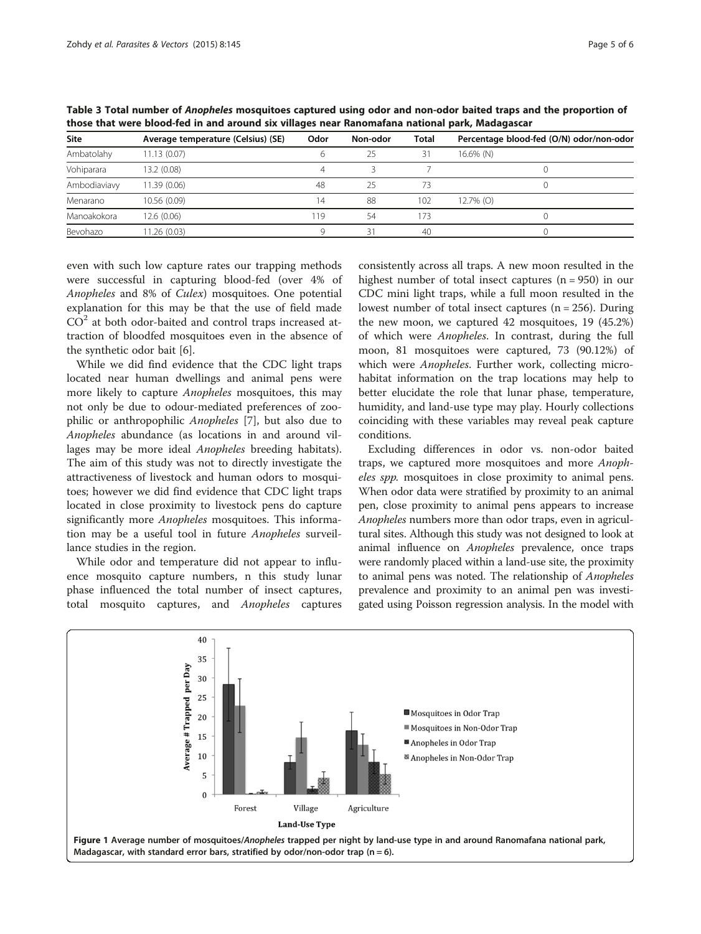| <b>Site</b>  | Average temperature (Celsius) (SE) | Odor | Non-odor | <b>Total</b> | Percentage blood-fed (O/N) odor/non-odor |  |
|--------------|------------------------------------|------|----------|--------------|------------------------------------------|--|
| Ambatolahy   | 11.13(0.07)                        |      | 25       | 31           | 16.6% (N)                                |  |
| Vohiparara   | 13.2 (0.08)                        |      |          |              |                                          |  |
| Ambodiaviavy | 11.39 (0.06)                       | 48   | 25       | 73           |                                          |  |
| Menarano     | 10.56 (0.09)                       | 14   | 88       | 102          | $12.7\%$ (O)                             |  |
| Manoakokora  | 12.6(0.06)                         | 19   | 54       | 73           |                                          |  |
| Bevohazo     | 1.26(0.03)                         |      | 31       | 40           |                                          |  |

<span id="page-4-0"></span>Table 3 Total number of Anopheles mosquitoes captured using odor and non-odor baited traps and the proportion of those that were blood-fed in and around six villages near Ranomafana national park, Madagascar

even with such low capture rates our trapping methods were successful in capturing blood-fed (over 4% of Anopheles and 8% of Culex) mosquitoes. One potential explanation for this may be that the use of field made  $CO<sup>2</sup>$  at both odor-baited and control traps increased attraction of bloodfed mosquitoes even in the absence of the synthetic odor bait [\[6](#page-5-0)].

While we did find evidence that the CDC light traps located near human dwellings and animal pens were more likely to capture Anopheles mosquitoes, this may not only be due to odour-mediated preferences of zoophilic or anthropophilic Anopheles [\[7\]](#page-5-0), but also due to Anopheles abundance (as locations in and around villages may be more ideal Anopheles breeding habitats). The aim of this study was not to directly investigate the attractiveness of livestock and human odors to mosquitoes; however we did find evidence that CDC light traps located in close proximity to livestock pens do capture significantly more Anopheles mosquitoes. This information may be a useful tool in future Anopheles surveillance studies in the region.

While odor and temperature did not appear to influence mosquito capture numbers, n this study lunar phase influenced the total number of insect captures, total mosquito captures, and Anopheles captures

consistently across all traps. A new moon resulted in the highest number of total insect captures  $(n = 950)$  in our CDC mini light traps, while a full moon resulted in the lowest number of total insect captures  $(n = 256)$ . During the new moon, we captured 42 mosquitoes, 19 (45.2%) of which were Anopheles. In contrast, during the full moon, 81 mosquitoes were captured, 73 (90.12%) of which were Anopheles. Further work, collecting microhabitat information on the trap locations may help to better elucidate the role that lunar phase, temperature, humidity, and land-use type may play. Hourly collections coinciding with these variables may reveal peak capture conditions.

Excluding differences in odor vs. non-odor baited traps, we captured more mosquitoes and more Anopheles spp. mosquitoes in close proximity to animal pens. When odor data were stratified by proximity to an animal pen, close proximity to animal pens appears to increase Anopheles numbers more than odor traps, even in agricultural sites. Although this study was not designed to look at animal influence on Anopheles prevalence, once traps were randomly placed within a land-use site, the proximity to animal pens was noted. The relationship of Anopheles prevalence and proximity to an animal pen was investigated using Poisson regression analysis. In the model with